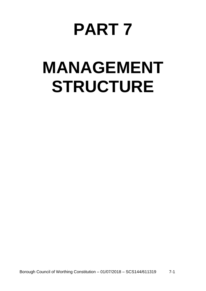# **PART 7**

# **MANAGEMENT STRUCTURE**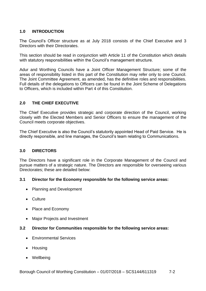# **1.0 INTRODUCTION**

The Council's Officer structure as at July 2018 consists of the Chief Executive and 3 Directors with their Directorates.

This section should be read in conjunction with Article 11 of the Constitution which details with statutory responsibilities within the Council's management structure.

Adur and Worthing Councils have a Joint Officer Management Structure; some of the areas of responsibility listed in this part of the Constitution may refer only to one Council. The Joint Committee Agreement, as amended, has the definitive roles and responsibilities. Full details of the delegations to Officers can be found in the Joint Scheme of Delegations to Officers, which is included within Part 4 of this Constitution.

## **2.0 THE CHIEF EXECUTIVE**

The Chief Executive provides strategic and corporate direction of the Council, working closely with the Elected Members and Senior Officers to ensure the management of the Council meets corporate objectives.

The Chief Executive is also the Council's statutorily appointed Head of Paid Service. He is directly responsible, and line manages, the Council's team relating to Communications.

## **3.0 DIRECTORS**

The Directors have a significant role in the Corporate Management of the Council and pursue matters of a strategic nature. The Directors are responsible for overseeing various Directorates; these are detailed below:

### **3.1 Director for the Economy responsible for the following service areas:**

- Planning and Development
- Culture
- Place and Economy
- Major Projects and Investment

## **3.2 Director for Communities responsible for the following service areas:**

- **•** Environmental Services
- Housing
- Wellbeing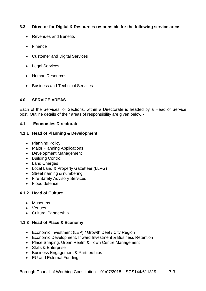## **3.3 Director for Digital & Resources responsible for the following service areas:**

- Revenues and Benefits
- Finance
- Customer and Digital Services
- Legal Services
- Human Resources
- Business and Technical Services

## **4.0 SERVICE AREAS**

Each of the Services, or Sections, within a Directorate is headed by a Head of Service post. Outline details of their areas of responsibility are given below:-

## **4.1 Economies Directorate**

## **4.1.1 Head of Planning & Development**

- Planning Policy
- Major Planning Applications
- Development Management
- Building Control
- Land Charges
- Local Land & Property Gazetteer (LLPG)
- Street naming & numbering
- Fire Safety Advisory Services
- Flood defence

## **4.1.2 Head of Culture**

- Museums
- Venues
- Cultural Partnership

## **4.1.3 Head of Place & Economy**

- Economic Investment (LEP) / Growth Deal / City Region
- Economic Development, Inward Investment & Business Retention
- Place Shaping, Urban Realm & Town Centre Management
- Skills & Enterprise
- Business Engagement & Partnerships
- EU and External Funding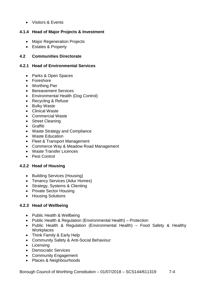• Visitors & Events

# **4.1.4 Head of Major Projects & Investment**

- Major Regeneration Projects
- Estates & Property

# **4.2 Communities Directorate**

## **4.2.1 Head of Environmental Services**

- Parks & Open Spaces
- Foreshore
- Worthing Pier
- Bereavement Services
- Environmental Health (Dog Control)
- Recycling & Refuse
- Bulky Waste
- Clinical Waste
- Commercial Waste
- Street Cleaning
- Graffiti
- Waste Strategy and Compliance
- Waste Education
- Fleet & Transport Management
- Commerce Way & Meadow Road Management
- Waste Transfer Licences
- Pest Control

# **4.2.2 Head of Housing**

- Building Services (Housing)
- Tenancy Services (Adur Homes)
- Strategy, Systems & Clienting
- Private Sector Housing
- Housing Solutions

# **4.2.3 Head of Wellbeing**

- Public Health & Wellbeing
- Public Health & Regulation (Environmental Health) Protection
- Public Health & Regulation (Environmental Health) Food Safety & Healthy **Workplaces**
- Think Family & Early Help
- Community Safety & Anti-Social Behaviour
- Licensing
- Democratic Services
- Community Engagement
- Places & Neighbourhoods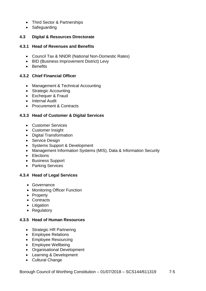- Third Sector & Partnerships
- Safeguarding

## **4.3 Digital & Resources Directorate**

### **4.3.1 Head of Revenues and Benefits**

- Council Tax & NNDR (National Non-Domestic Rates)
- BID (Business Improvement District) Levy
- **•** Benefits

## **4.3.2 Chief Financial Officer**

- Management & Technical Accounting
- Strategic Accounting
- Exchequer & Fraud
- Internal Audit
- Procurement & Contracts

## **4.3.3 Head of Customer & Digital Services**

- Customer Services
- Customer Insight
- Digital Transformation
- Service Design
- Systems Support & Development
- Management Information Systems (MIS), Data & Information Security
- Elections
- Business Support
- Parking Services

## **4.3.4 Head of Legal Services**

- Governance
- Monitoring Officer Function
- Property
- Contracts
- Litigation
- Regulatory

### **4.3.5 Head of Human Resources**

- Strategic HR Partnering
- Employee Relations
- Employee Resourcing
- Employee Wellbeing
- Organisational Development
- Learning & Development
- Cultural Change